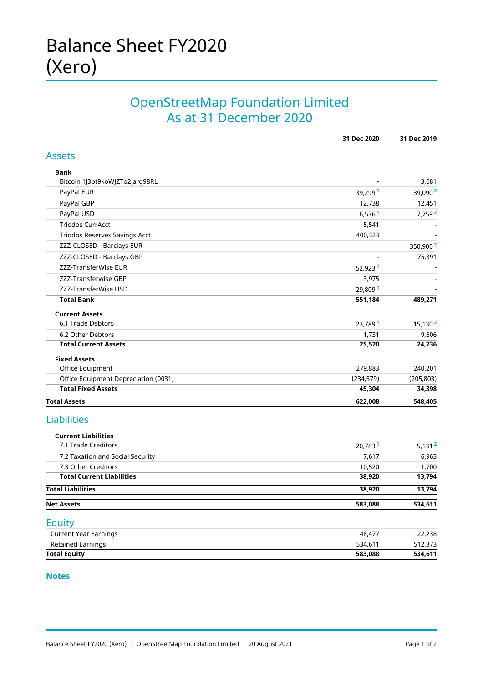## OpenStreetMap Foundation Limited As at 31 December 2020

|                                      | 31 Dec 2020          | 31 Dec 2019          |
|--------------------------------------|----------------------|----------------------|
| <b>Assets</b>                        |                      |                      |
| Bank                                 |                      |                      |
| Bitcoin 1J3pt9koWJZTo2jarg98RL       |                      | 3,681                |
| PayPal EUR                           | 39,2991              | 39,090 <sup>2</sup>  |
| PayPal GBP                           | 12,738               | 12,451               |
| PayPal USD                           | $6,576$ <sup>1</sup> | 7,759 <sup>2</sup>   |
| <b>Triodos CurrAcct</b>              | 5,541                |                      |
| Triodos Reserves Savings Acct        | 400,323              |                      |
| ZZZ-CLOSED - Barclays EUR            |                      | 350,900 <sup>2</sup> |
| ZZZ-CLOSED - Barclays GBP            |                      | 75,391               |
| ZZZ-TransferWise EUR                 | 52,923 <sup>1</sup>  |                      |
| ZZZ-Transferwise GBP                 | 3,975                |                      |
| ZZZ-TransferWise USD                 | 29,809 <sup>1</sup>  |                      |
| <b>Total Bank</b>                    | 551,184              | 489,271              |
| <b>Current Assets</b>                |                      |                      |
| 6.1 Trade Debtors                    | 23,789 <sup>1</sup>  | 15,130 <sup>2</sup>  |
| 6.2 Other Debtors                    | 1,731                | 9,606                |
| <b>Total Current Assets</b>          | 25,520               | 24,736               |
| <b>Fixed Assets</b>                  |                      |                      |
| Office Equipment                     | 279,883              | 240,201              |
| Office Equipment Depreciation (0031) | (234, 579)           | (205, 803)           |
| <b>Total Fixed Assets</b>            | 45,304               | 34,398               |
| <b>Total Assets</b>                  | 622,008              | 548,405              |
| Liabilities                          |                      |                      |
| <b>Current Liabilities</b>           |                      |                      |
| 7.1 Trade Creditors                  | 20,783 <sup>1</sup>  | 5,131 <sup>2</sup>   |
| 7.2 Taxation and Social Security     | 7,617                | 6,963                |
| 7.3 Other Creditors                  | 10,520               | 1,700                |
| <b>Total Current Liabilities</b>     | 38,920               | 13,794               |
| <b>Total Liabilities</b>             | 38,920               | 13,794               |
| <b>Net Assets</b>                    | 583,088              | 534,611              |
| Equity                               |                      |                      |
| <b>Current Year Earnings</b>         | 48,477               | 22,238               |
| <b>Retained Earnings</b>             | 534,611              | 512,373              |
| <b>Total Equity</b>                  | 583,088              | 534,611              |

#### **Notes**